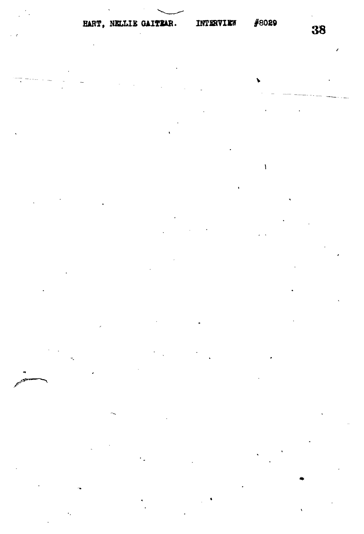# HART, NELLIE GAITEAR.

 $\mathbf{I}$ 

38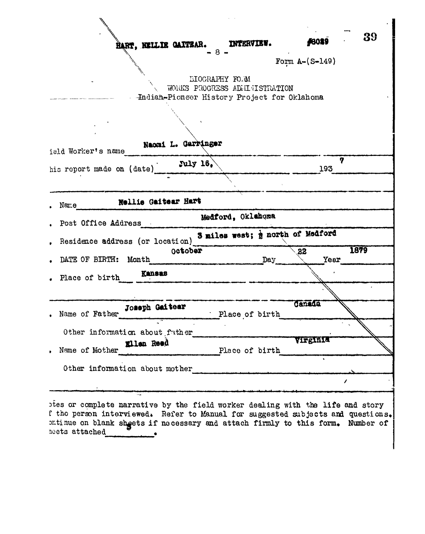|                                                                |                                                                                                                     | INTERVIEW.                                   | <b>#8089</b>     | 39   |
|----------------------------------------------------------------|---------------------------------------------------------------------------------------------------------------------|----------------------------------------------|------------------|------|
|                                                                | HART, NEILIE GAITEAR.<br>$-8 -$                                                                                     |                                              | Form $A-(S-149)$ |      |
|                                                                | EIOGRAPHY FO.M<br>WORKS PROGRESS ADMINISTRATION<br>Indian-Pioncer History Project for Oklahoma                      |                                              |                  |      |
|                                                                |                                                                                                                     |                                              |                  |      |
| ield Worker's name                                             | Naomi L. Garringer                                                                                                  |                                              |                  |      |
| his report made on (date)                                      | July 16.                                                                                                            |                                              | 193              | 7    |
| $N$ ame                                                        | Nellie Gaitear Hart                                                                                                 |                                              |                  |      |
| Post Office Address                                            |                                                                                                                     | Medford, Oklahoma                            |                  |      |
| Residence address (or location)                                | october                                                                                                             | 3 miles west; $\frac{1}{2}$ north of Medford | 32               | 1879 |
| DATE OF BIRTH:<br>Month                                        |                                                                                                                     | Day                                          | Year             |      |
| Place of birth                                                 | Kansas                                                                                                              |                                              |                  |      |
|                                                                | Joseph Gaitear                                                                                                      |                                              | <b>Canada</b>    |      |
| Name of Father                                                 |                                                                                                                     | Place of birth                               |                  |      |
| Other information about futher<br>Ellen Reed<br>Name of Mother | .<br>19 Martin Lagrand and Management and Lagrand and Management and a Section 1999 of the Association of the Assoc | Place of birth                               |                  |      |

 $\alpha = \alpha$ 

N

f the person interviewed. Refer to Manual for suggested subjects and questions. Intinue on blank sheets if necessary and attach firmly to this form. Number of heets attached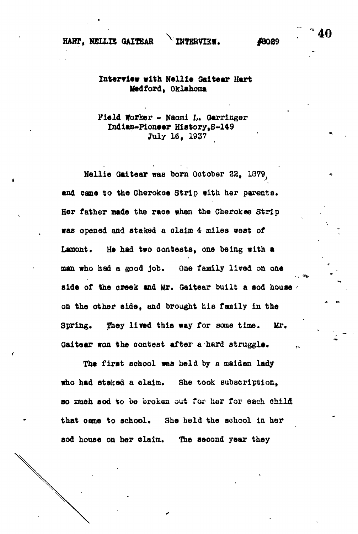#### **HAOT, NELLIE GAITBAR**

#### $\sqrt{40}$ **<sup>X</sup> INTERVIEW.**

### **Interriew with Nellie Gaitear Hart liedford, Oklahoma**

## **Field Worker - Naomi L. Garringer Indian\*»Pioneer Hiotory.S-149 July 16, 1937**

**Nellie Gaitear was born October 22, 1879. and came to the Cherokee Strip with her parents. Her father made the race when the Cherokee Strip was opened and staked a claim 4 miles vest of Lamont. Ha had two contests, one being with a man who had a good job. One family lived on one aide of the creek and Mr. Gaitear built a aod house on the other aide, and brought his fanily in the Spring. They lived this way for some time. Mr. Gaitear won the contest after a hard struggle.**

**The first school was held by a maiden lady who had staked a claim. She took subscription, so nuoh aod to be brokes out for her for each child that oame to school. She held the school in her sod house on her claim. The second year they**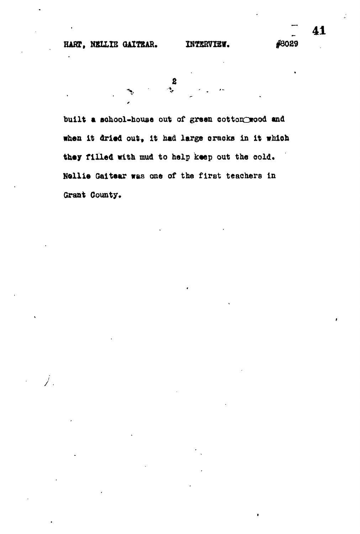**/ .**

built a school-house out of green cotton wood and when it dried out, it had large cracks in it which they filled with mud to help keep out the cold. **Nellie Gaitear was one of the first teachers in Grant County.**